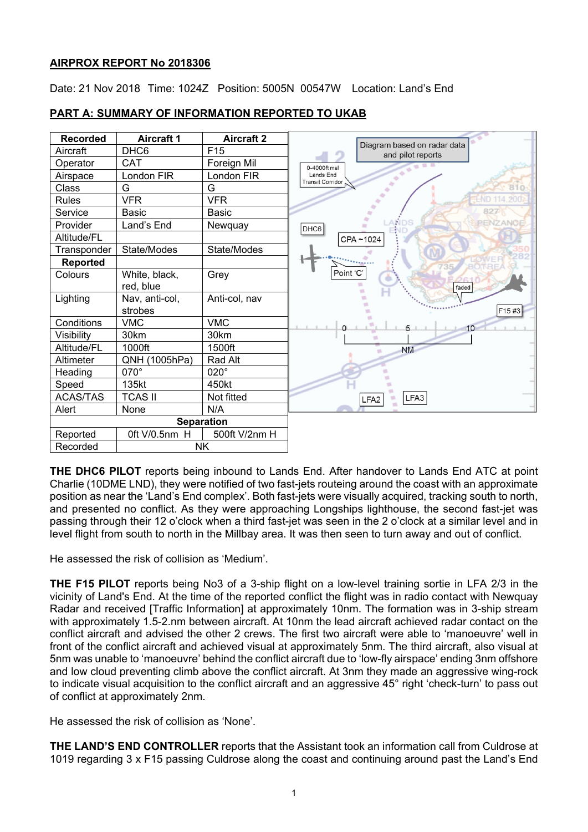# **AIRPROX REPORT No 2018306**

Date: 21 Nov 2018 Time: 1024Z Position: 5005N 00547W Location: Land's End



# **PART A: SUMMARY OF INFORMATION REPORTED TO UKAB**

**THE DHC6 PILOT** reports being inbound to Lands End. After handover to Lands End ATC at point Charlie (10DME LND), they were notified of two fast-jets routeing around the coast with an approximate position as near the 'Land's End complex'. Both fast-jets were visually acquired, tracking south to north, and presented no conflict. As they were approaching Longships lighthouse, the second fast-jet was passing through their 12 o'clock when a third fast-jet was seen in the 2 o'clock at a similar level and in level flight from south to north in the Millbay area. It was then seen to turn away and out of conflict.

He assessed the risk of collision as 'Medium'.

**THE F15 PILOT** reports being No3 of a 3-ship flight on a low-level training sortie in LFA 2/3 in the vicinity of Land's End. At the time of the reported conflict the flight was in radio contact with Newquay Radar and received [Traffic Information] at approximately 10nm. The formation was in 3-ship stream with approximately 1.5-2.nm between aircraft. At 10nm the lead aircraft achieved radar contact on the conflict aircraft and advised the other 2 crews. The first two aircraft were able to 'manoeuvre' well in front of the conflict aircraft and achieved visual at approximately 5nm. The third aircraft, also visual at 5nm was unable to 'manoeuvre' behind the conflict aircraft due to 'low-fly airspace' ending 3nm offshore and low cloud preventing climb above the conflict aircraft. At 3nm they made an aggressive wing-rock to indicate visual acquisition to the conflict aircraft and an aggressive 45° right 'check-turn' to pass out of conflict at approximately 2nm.

He assessed the risk of collision as 'None'.

**THE LAND'S END CONTROLLER** reports that the Assistant took an information call from Culdrose at 1019 regarding 3 x F15 passing Culdrose along the coast and continuing around past the Land's End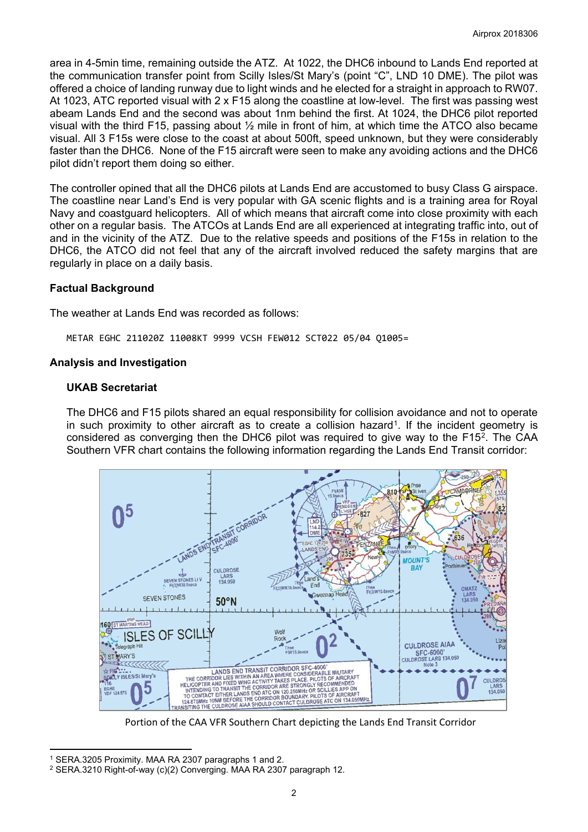area in 4-5min time, remaining outside the ATZ. At 1022, the DHC6 inbound to Lands End reported at the communication transfer point from Scilly Isles/St Mary's (point "C", LND 10 DME). The pilot was offered a choice of landing runway due to light winds and he elected for a straight in approach to RW07. At 1023, ATC reported visual with 2 x F15 along the coastline at low-level. The first was passing west abeam Lands End and the second was about 1nm behind the first. At 1024, the DHC6 pilot reported visual with the third F15, passing about ½ mile in front of him, at which time the ATCO also became visual. All 3 F15s were close to the coast at about 500ft, speed unknown, but they were considerably faster than the DHC6. None of the F15 aircraft were seen to make any avoiding actions and the DHC6 pilot didn't report them doing so either.

The controller opined that all the DHC6 pilots at Lands End are accustomed to busy Class G airspace. The coastline near Land's End is very popular with GA scenic flights and is a training area for Royal Navy and coastguard helicopters. All of which means that aircraft come into close proximity with each other on a regular basis. The ATCOs at Lands End are all experienced at integrating traffic into, out of and in the vicinity of the ATZ. Due to the relative speeds and positions of the F15s in relation to the DHC6, the ATCO did not feel that any of the aircraft involved reduced the safety margins that are regularly in place on a daily basis.

## **Factual Background**

The weather at Lands End was recorded as follows:

METAR EGHC 211020Z 11008KT 9999 VCSH FEW012 SCT022 05/04 Q1005=

### **Analysis and Investigation**

### **UKAB Secretariat**

The DHC6 and F15 pilots shared an equal responsibility for collision avoidance and not to operate in such proximity to other aircraft as to create a collision hazard<sup>1</sup>. If the incident geometry is considered as converging then the DHC6 pilot was required to give way to the F15 $^2$  $^2$ . The CAA Southern VFR chart contains the following information regarding the Lands End Transit corridor:



Portion of the CAA VFR Southern Chart depicting the Lands End Transit Corridor

 $\overline{a}$ 

<span id="page-1-0"></span><sup>1</sup> SERA.3205 Proximity. MAA RA 2307 paragraphs 1 and 2.

<span id="page-1-1"></span><sup>2</sup> SERA.3210 Right-of-way (c)(2) Converging. MAA RA 2307 paragraph 12.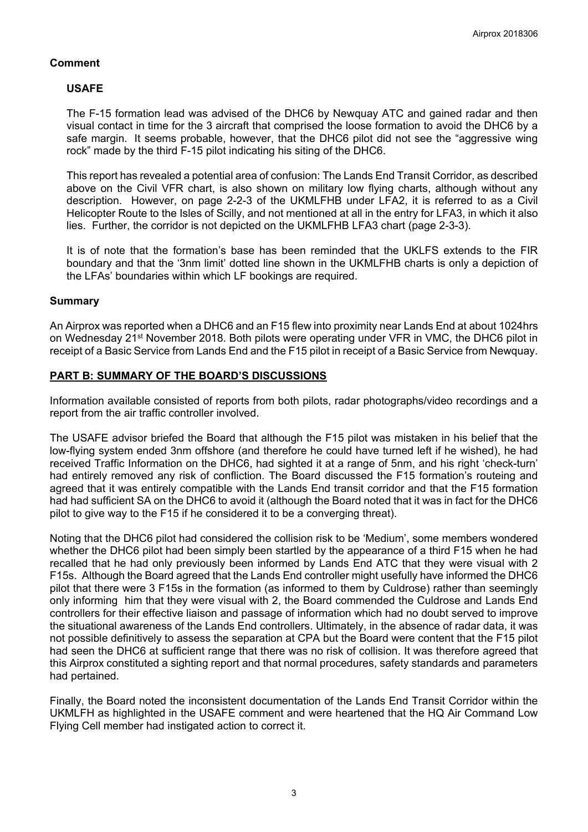## **Comment**

# **USAFE**

The F-15 formation lead was advised of the DHC6 by Newquay ATC and gained radar and then visual contact in time for the 3 aircraft that comprised the loose formation to avoid the DHC6 by a safe margin. It seems probable, however, that the DHC6 pilot did not see the "aggressive wing rock" made by the third F-15 pilot indicating his siting of the DHC6.

This report has revealed a potential area of confusion: The Lands End Transit Corridor, as described above on the Civil VFR chart, is also shown on military low flying charts, although without any description. However, on page 2-2-3 of the UKMLFHB under LFA2, it is referred to as a Civil Helicopter Route to the Isles of Scilly, and not mentioned at all in the entry for LFA3, in which it also lies. Further, the corridor is not depicted on the UKMLFHB LFA3 chart (page 2-3-3).

It is of note that the formation's base has been reminded that the UKLFS extends to the FIR boundary and that the '3nm limit' dotted line shown in the UKMLFHB charts is only a depiction of the LFAs' boundaries within which LF bookings are required.

### **Summary**

An Airprox was reported when a DHC6 and an F15 flew into proximity near Lands End at about 1024hrs on Wednesday 21<sup>st</sup> November 2018. Both pilots were operating under VFR in VMC, the DHC6 pilot in receipt of a Basic Service from Lands End and the F15 pilot in receipt of a Basic Service from Newquay.

## **PART B: SUMMARY OF THE BOARD'S DISCUSSIONS**

Information available consisted of reports from both pilots, radar photographs/video recordings and a report from the air traffic controller involved.

The USAFE advisor briefed the Board that although the F15 pilot was mistaken in his belief that the low-flying system ended 3nm offshore (and therefore he could have turned left if he wished), he had received Traffic Information on the DHC6, had sighted it at a range of 5nm, and his right 'check-turn' had entirely removed any risk of confliction. The Board discussed the F15 formation's routeing and agreed that it was entirely compatible with the Lands End transit corridor and that the F15 formation had had sufficient SA on the DHC6 to avoid it (although the Board noted that it was in fact for the DHC6 pilot to give way to the F15 if he considered it to be a converging threat).

Noting that the DHC6 pilot had considered the collision risk to be 'Medium', some members wondered whether the DHC6 pilot had been simply been startled by the appearance of a third F15 when he had recalled that he had only previously been informed by Lands End ATC that they were visual with 2 F15s. Although the Board agreed that the Lands End controller might usefully have informed the DHC6 pilot that there were 3 F15s in the formation (as informed to them by Culdrose) rather than seemingly only informing him that they were visual with 2, the Board commended the Culdrose and Lands End controllers for their effective liaison and passage of information which had no doubt served to improve the situational awareness of the Lands End controllers. Ultimately, in the absence of radar data, it was not possible definitively to assess the separation at CPA but the Board were content that the F15 pilot had seen the DHC6 at sufficient range that there was no risk of collision. It was therefore agreed that this Airprox constituted a sighting report and that normal procedures, safety standards and parameters had pertained.

Finally, the Board noted the inconsistent documentation of the Lands End Transit Corridor within the UKMLFH as highlighted in the USAFE comment and were heartened that the HQ Air Command Low Flying Cell member had instigated action to correct it.